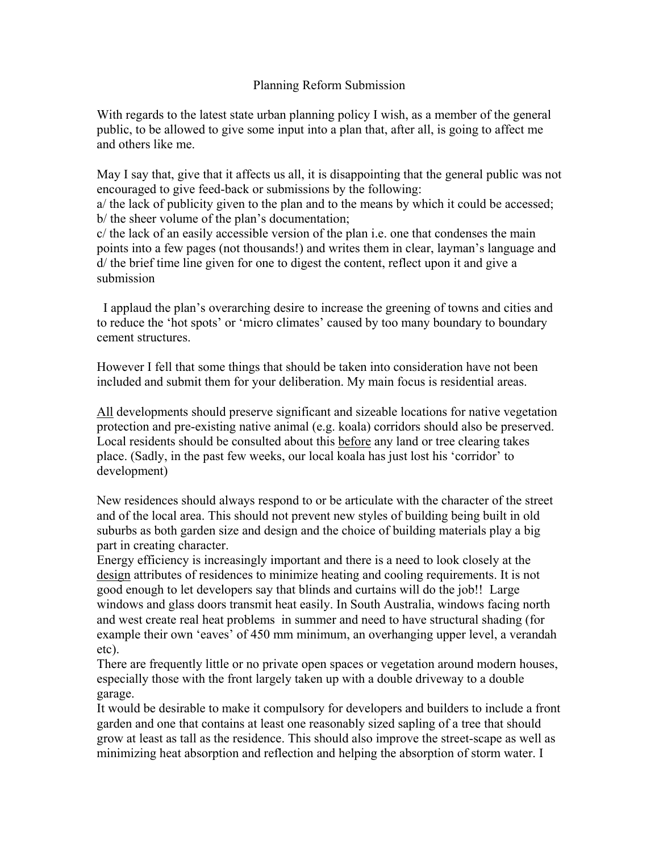## Planning Reform Submission

With regards to the latest state urban planning policy I wish, as a member of the general public, to be allowed to give some input into a plan that, after all, is going to affect me and others like me.

May I say that, give that it affects us all, it is disappointing that the general public was not encouraged to give feed-back or submissions by the following:

a/ the lack of publicity given to the plan and to the means by which it could be accessed; b/ the sheer volume of the plan's documentation;

c/ the lack of an easily accessible version of the plan i.e. one that condenses the main points into a few pages (not thousands!) and writes them in clear, layman's language and d/ the brief time line given for one to digest the content, reflect upon it and give a submission

 I applaud the plan's overarching desire to increase the greening of towns and cities and to reduce the 'hot spots' or 'micro climates' caused by too many boundary to boundary cement structures.

However I fell that some things that should be taken into consideration have not been included and submit them for your deliberation. My main focus is residential areas.

All developments should preserve significant and sizeable locations for native vegetation protection and pre-existing native animal (e.g. koala) corridors should also be preserved. Local residents should be consulted about this before any land or tree clearing takes place. (Sadly, in the past few weeks, our local koala has just lost his 'corridor' to development)

New residences should always respond to or be articulate with the character of the street and of the local area. This should not prevent new styles of building being built in old suburbs as both garden size and design and the choice of building materials play a big part in creating character.

Energy efficiency is increasingly important and there is a need to look closely at the design attributes of residences to minimize heating and cooling requirements. It is not good enough to let developers say that blinds and curtains will do the job!! Large windows and glass doors transmit heat easily. In South Australia, windows facing north and west create real heat problems in summer and need to have structural shading (for example their own 'eaves' of 450 mm minimum, an overhanging upper level, a verandah etc).

There are frequently little or no private open spaces or vegetation around modern houses, especially those with the front largely taken up with a double driveway to a double garage.

It would be desirable to make it compulsory for developers and builders to include a front garden and one that contains at least one reasonably sized sapling of a tree that should grow at least as tall as the residence. This should also improve the street-scape as well as minimizing heat absorption and reflection and helping the absorption of storm water. I